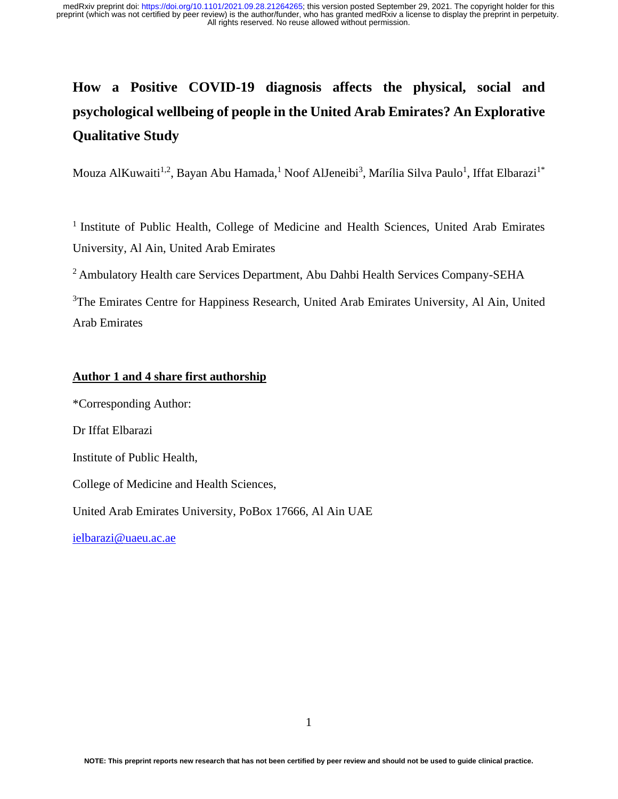# **How a Positive COVID-19 diagnosis affects the physical, social and psychological wellbeing of people in the United Arab Emirates? An Explorative Qualitative Study**

Mouza AlKuwaiti<sup>1,2</sup>, Bayan Abu Hamada,<sup>1</sup> Noof AlJeneibi<sup>3</sup>, Marília Silva Paulo<sup>1</sup>, Iffat Elbarazi<sup>1\*</sup>

<sup>1</sup> Institute of Public Health, College of Medicine and Health Sciences, United Arab Emirates University, Al Ain, United Arab Emirates

<sup>2</sup> Ambulatory Health care Services Department, Abu Dahbi Health Services Company-SEHA

<sup>3</sup>The Emirates Centre for Happiness Research, United Arab Emirates University, Al Ain, United Arab Emirates

# **Author 1 and 4 share first authorship**

\*Corresponding Author: Dr Iffat Elbarazi Institute of Public Health, College of Medicine and Health Sciences, United Arab Emirates University, PoBox 17666, Al Ain UAE

[ielbarazi@uaeu.ac.ae](mailto:ielbarazi@uaeu.ac.ae)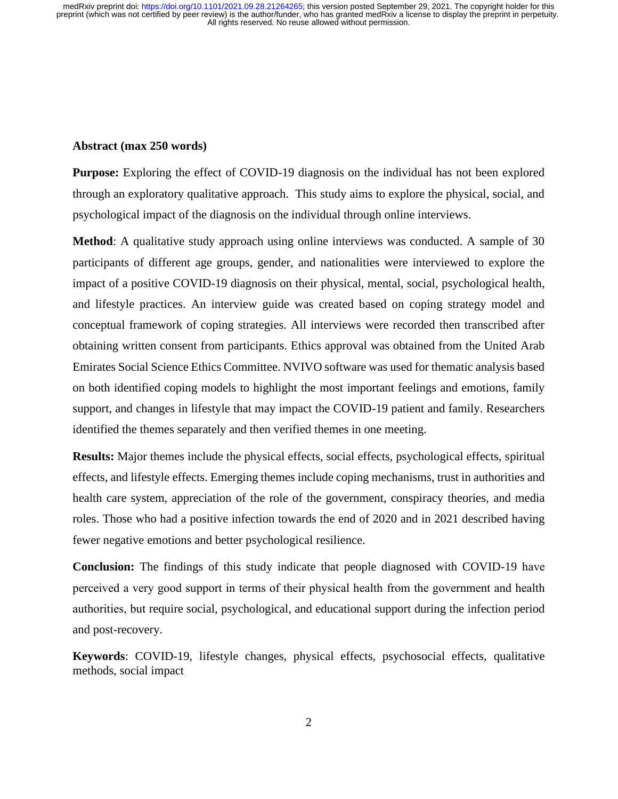#### **Abstract (max 250 words)**

**Purpose:** Exploring the effect of COVID-19 diagnosis on the individual has not been explored through an exploratory qualitative approach. This study aims to explore the physical, social, and psychological impact of the diagnosis on the individual through online interviews.

**Method**: A qualitative study approach using online interviews was conducted. A sample of 30 participants of different age groups, gender, and nationalities were interviewed to explore the impact of a positive COVID-19 diagnosis on their physical, mental, social, psychological health, and lifestyle practices. An interview guide was created based on coping strategy model and conceptual framework of coping strategies. All interviews were recorded then transcribed after obtaining written consent from participants. Ethics approval was obtained from the United Arab Emirates Social Science Ethics Committee. NVIVO software was used for thematic analysis based on both identified coping models to highlight the most important feelings and emotions, family support, and changes in lifestyle that may impact the COVID-19 patient and family. Researchers identified the themes separately and then verified themes in one meeting.

**Results:** Major themes include the physical effects, social effects, psychological effects, spiritual effects, and lifestyle effects. Emerging themes include coping mechanisms, trust in authorities and health care system, appreciation of the role of the government, conspiracy theories, and media roles. Those who had a positive infection towards the end of 2020 and in 2021 described having fewer negative emotions and better psychological resilience.

**Conclusion:** The findings of this study indicate that people diagnosed with COVID-19 have perceived a very good support in terms of their physical health from the government and health authorities, but require social, psychological, and educational support during the infection period and post-recovery.

**Keywords**: COVID-19, lifestyle changes, physical effects, psychosocial effects, qualitative methods, social impact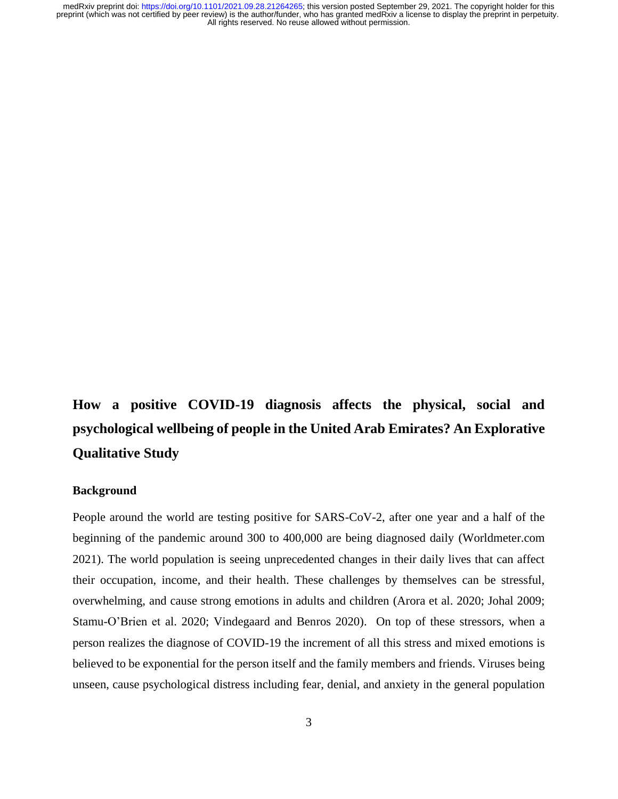# **How a positive COVID-19 diagnosis affects the physical, social and psychological wellbeing of people in the United Arab Emirates? An Explorative Qualitative Study**

# **Background**

People around the world are testing positive for SARS-CoV-2, after one year and a half of the beginning of the pandemic around 300 to 400,000 are being diagnosed daily (Worldmeter.com 2021). The world population is seeing unprecedented changes in their daily lives that can affect their occupation, income, and their health. These challenges by themselves can be stressful, overwhelming, and cause strong emotions in adults and children (Arora et al. 2020; Johal 2009; Stamu-O'Brien et al. 2020; Vindegaard and Benros 2020). On top of these stressors, when a person realizes the diagnose of COVID-19 the increment of all this stress and mixed emotions is believed to be exponential for the person itself and the family members and friends. Viruses being unseen, cause psychological distress including fear, denial, and anxiety in the general population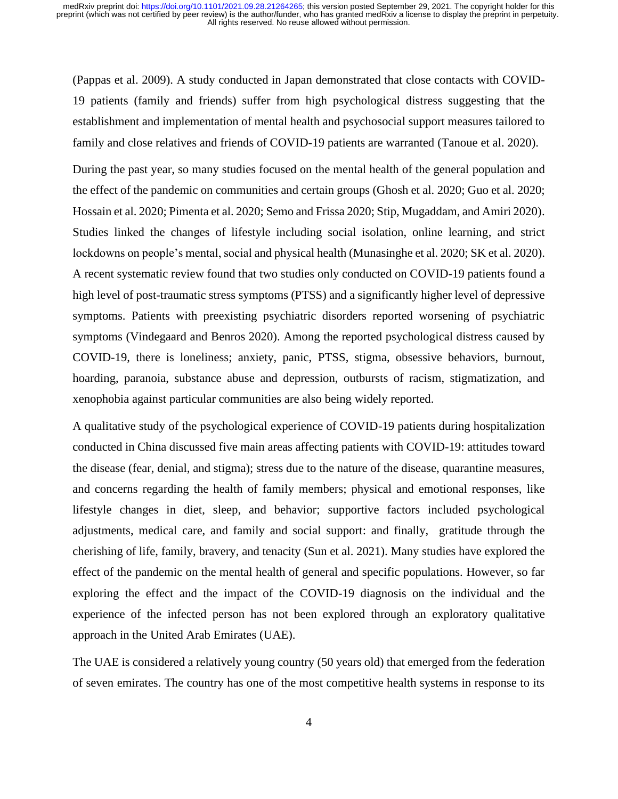(Pappas et al. 2009). A study conducted in Japan demonstrated that close contacts with COVID-19 patients (family and friends) suffer from high psychological distress suggesting that the establishment and implementation of mental health and psychosocial support measures tailored to family and close relatives and friends of COVID-19 patients are warranted (Tanoue et al. 2020).

During the past year, so many studies focused on the mental health of the general population and the effect of the pandemic on communities and certain groups (Ghosh et al. 2020; Guo et al. 2020; Hossain et al. 2020; Pimenta et al. 2020; Semo and Frissa 2020; Stip, Mugaddam, and Amiri 2020). Studies linked the changes of lifestyle including social isolation, online learning, and strict lockdowns on people's mental, social and physical health (Munasinghe et al. 2020; SK et al. 2020). A recent systematic review found that two studies only conducted on COVID-19 patients found a high level of post-traumatic stress symptoms (PTSS) and a significantly higher level of depressive symptoms. Patients with preexisting psychiatric disorders reported worsening of psychiatric symptoms (Vindegaard and Benros 2020). Among the reported psychological distress caused by COVID-19, there is loneliness; anxiety, panic, PTSS, stigma, obsessive behaviors, burnout, hoarding, paranoia, substance abuse and depression, outbursts of racism, stigmatization, and xenophobia against particular communities are also being widely reported.

A qualitative study of the psychological experience of COVID-19 patients during hospitalization conducted in China discussed five main areas affecting patients with COVID-19: attitudes toward the disease (fear, denial, and stigma); stress due to the nature of the disease, quarantine measures, and concerns regarding the health of family members; physical and emotional responses, like lifestyle changes in diet, sleep, and behavior; supportive factors included psychological adjustments, medical care, and family and social support: and finally, gratitude through the cherishing of life, family, bravery, and tenacity (Sun et al. 2021). Many studies have explored the effect of the pandemic on the mental health of general and specific populations. However, so far exploring the effect and the impact of the COVID-19 diagnosis on the individual and the experience of the infected person has not been explored through an exploratory qualitative approach in the United Arab Emirates (UAE).

The UAE is considered a relatively young country (50 years old) that emerged from the federation of seven emirates. The country has one of the most competitive health systems in response to its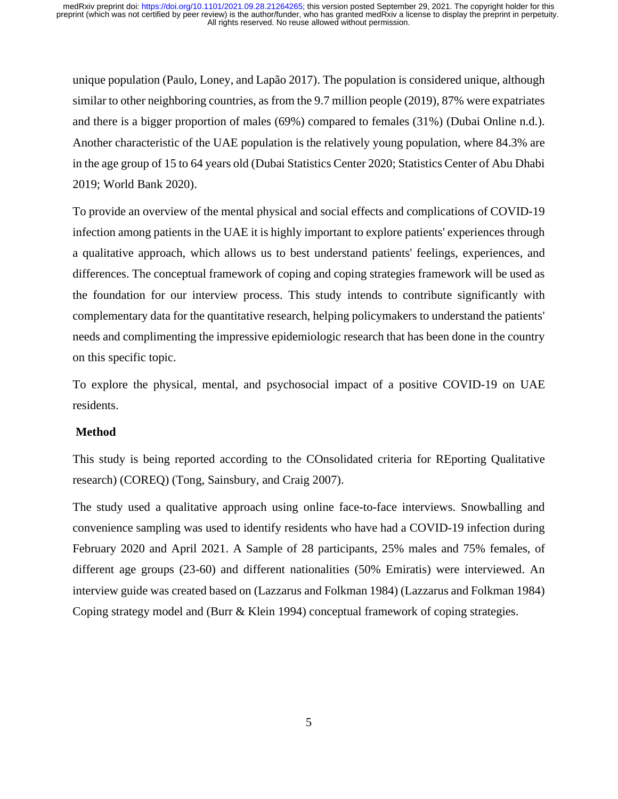unique population (Paulo, Loney, and Lapão 2017). The population is considered unique, although similar to other neighboring countries, as from the 9.7 million people (2019), 87% were expatriates and there is a bigger proportion of males (69%) compared to females (31%) (Dubai Online n.d.). Another characteristic of the UAE population is the relatively young population, where 84.3% are in the age group of 15 to 64 years old (Dubai Statistics Center 2020; Statistics Center of Abu Dhabi 2019; World Bank 2020).

To provide an overview of the mental physical and social effects and complications of COVID-19 infection among patients in the UAE it is highly important to explore patients' experiences through a qualitative approach, which allows us to best understand patients' feelings, experiences, and differences. The conceptual framework of coping and coping strategies framework will be used as the foundation for our interview process. This study intends to contribute significantly with complementary data for the quantitative research, helping policymakers to understand the patients' needs and complimenting the impressive epidemiologic research that has been done in the country on this specific topic.

To explore the physical, mental, and psychosocial impact of a positive COVID-19 on UAE residents.

# **Method**

This study is being reported according to the COnsolidated criteria for REporting Qualitative research) (COREQ) (Tong, Sainsbury, and Craig 2007).

The study used a qualitative approach using online face-to-face interviews. Snowballing and convenience sampling was used to identify residents who have had a COVID-19 infection during February 2020 and April 2021. A Sample of 28 participants, 25% males and 75% females, of different age groups (23-60) and different nationalities (50% Emiratis) were interviewed. An interview guide was created based on (Lazzarus and Folkman 1984) (Lazzarus and Folkman 1984) Coping strategy model and (Burr & Klein 1994) conceptual framework of coping strategies.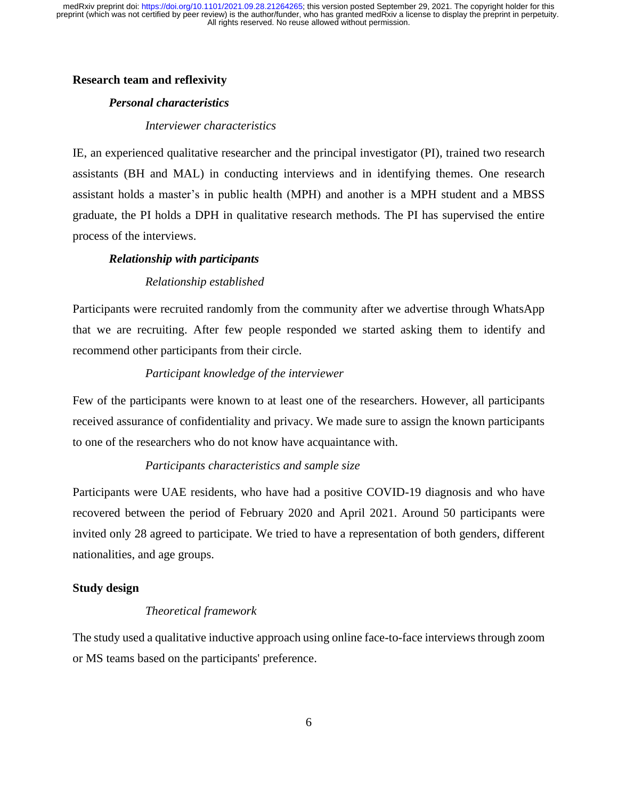# **Research team and reflexivity**

## *Personal characteristics*

#### *Interviewer characteristics*

IE, an experienced qualitative researcher and the principal investigator (PI), trained two research assistants (BH and MAL) in conducting interviews and in identifying themes. One research assistant holds a master's in public health (MPH) and another is a MPH student and a MBSS graduate, the PI holds a DPH in qualitative research methods. The PI has supervised the entire process of the interviews.

#### *Relationship with participants*

## *Relationship established*

Participants were recruited randomly from the community after we advertise through WhatsApp that we are recruiting. After few people responded we started asking them to identify and recommend other participants from their circle.

# *Participant knowledge of the interviewer*

Few of the participants were known to at least one of the researchers. However, all participants received assurance of confidentiality and privacy. We made sure to assign the known participants to one of the researchers who do not know have acquaintance with.

# *Participants characteristics and sample size*

Participants were UAE residents, who have had a positive COVID-19 diagnosis and who have recovered between the period of February 2020 and April 2021. Around 50 participants were invited only 28 agreed to participate. We tried to have a representation of both genders, different nationalities, and age groups.

## **Study design**

## *Theoretical framework*

The study used a qualitative inductive approach using online face-to-face interviews through zoom or MS teams based on the participants' preference.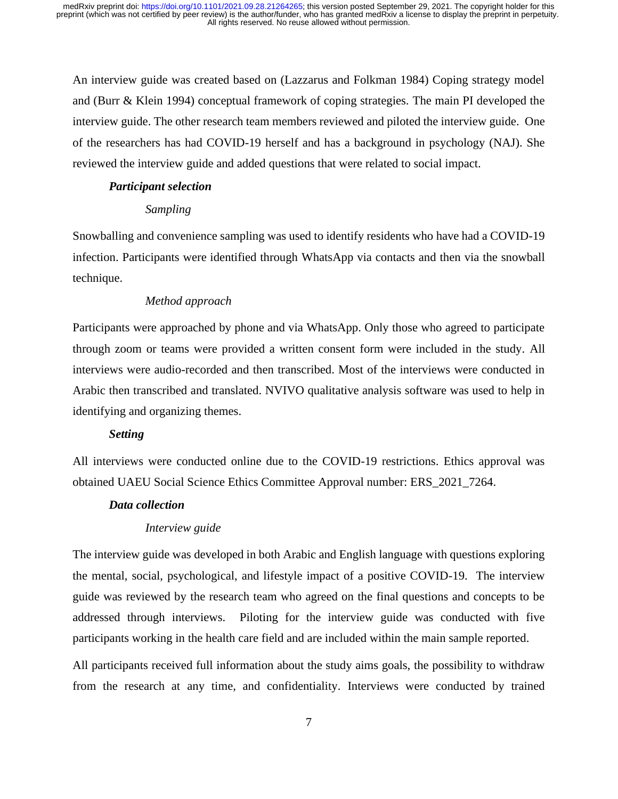An interview guide was created based on (Lazzarus and Folkman 1984) Coping strategy model and (Burr & Klein 1994) conceptual framework of coping strategies. The main PI developed the interview guide. The other research team members reviewed and piloted the interview guide. One of the researchers has had COVID-19 herself and has a background in psychology (NAJ). She reviewed the interview guide and added questions that were related to social impact.

#### *Participant selection*

#### *Sampling*

Snowballing and convenience sampling was used to identify residents who have had a COVID-19 infection. Participants were identified through WhatsApp via contacts and then via the snowball technique.

#### *Method approach*

Participants were approached by phone and via WhatsApp. Only those who agreed to participate through zoom or teams were provided a written consent form were included in the study. All interviews were audio-recorded and then transcribed. Most of the interviews were conducted in Arabic then transcribed and translated. NVIVO qualitative analysis software was used to help in identifying and organizing themes.

#### *Setting*

All interviews were conducted online due to the COVID-19 restrictions. Ethics approval was obtained UAEU Social Science Ethics Committee Approval number: ERS\_2021\_7264.

# *Data collection*

# *Interview guide*

The interview guide was developed in both Arabic and English language with questions exploring the mental, social, psychological, and lifestyle impact of a positive COVID-19. The interview guide was reviewed by the research team who agreed on the final questions and concepts to be addressed through interviews. Piloting for the interview guide was conducted with five participants working in the health care field and are included within the main sample reported.

All participants received full information about the study aims goals, the possibility to withdraw from the research at any time, and confidentiality. Interviews were conducted by trained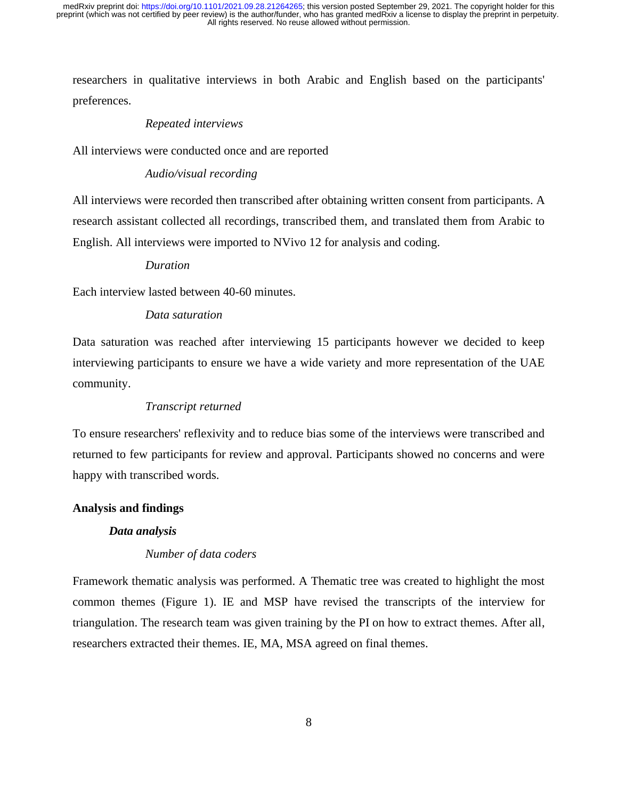researchers in qualitative interviews in both Arabic and English based on the participants' preferences.

## *Repeated interviews*

All interviews were conducted once and are reported

# *Audio/visual recording*

All interviews were recorded then transcribed after obtaining written consent from participants. A research assistant collected all recordings, transcribed them, and translated them from Arabic to English. All interviews were imported to NVivo 12 for analysis and coding.

# *Duration*

Each interview lasted between 40-60 minutes.

# *Data saturation*

Data saturation was reached after interviewing 15 participants however we decided to keep interviewing participants to ensure we have a wide variety and more representation of the UAE community.

#### *Transcript returned*

To ensure researchers' reflexivity and to reduce bias some of the interviews were transcribed and returned to few participants for review and approval. Participants showed no concerns and were happy with transcribed words.

#### **Analysis and findings**

## *Data analysis*

# *Number of data coders*

Framework thematic analysis was performed. A Thematic tree was created to highlight the most common themes (Figure 1). IE and MSP have revised the transcripts of the interview for triangulation. The research team was given training by the PI on how to extract themes. After all, researchers extracted their themes. IE, MA, MSA agreed on final themes.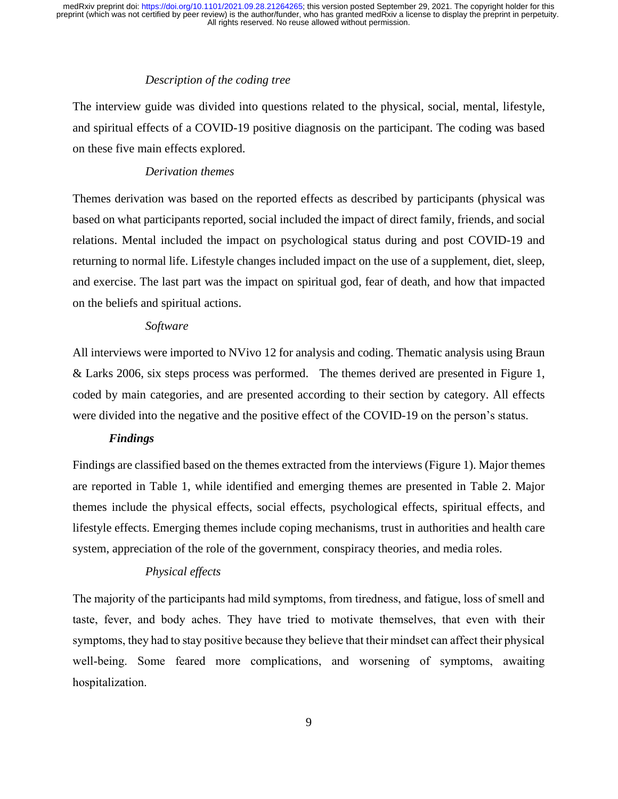# *Description of the coding tree*

The interview guide was divided into questions related to the physical, social, mental, lifestyle, and spiritual effects of a COVID-19 positive diagnosis on the participant. The coding was based on these five main effects explored.

# *Derivation themes*

Themes derivation was based on the reported effects as described by participants (physical was based on what participants reported, social included the impact of direct family, friends, and social relations. Mental included the impact on psychological status during and post COVID-19 and returning to normal life. Lifestyle changes included impact on the use of a supplement, diet, sleep, and exercise. The last part was the impact on spiritual god, fear of death, and how that impacted on the beliefs and spiritual actions.

# *Software*

All interviews were imported to NVivo 12 for analysis and coding. Thematic analysis using Braun & Larks 2006, six steps process was performed. The themes derived are presented in Figure 1, coded by main categories, and are presented according to their section by category. All effects were divided into the negative and the positive effect of the COVID-19 on the person's status.

# *Findings*

Findings are classified based on the themes extracted from the interviews (Figure 1). Major themes are reported in Table 1, while identified and emerging themes are presented in Table 2. Major themes include the physical effects, social effects, psychological effects, spiritual effects, and lifestyle effects. Emerging themes include coping mechanisms, trust in authorities and health care system, appreciation of the role of the government, conspiracy theories, and media roles.

# *Physical effects*

The majority of the participants had mild symptoms, from tiredness, and fatigue, loss of smell and taste, fever, and body aches. They have tried to motivate themselves, that even with their symptoms, they had to stay positive because they believe that their mindset can affect their physical well-being. Some feared more complications, and worsening of symptoms, awaiting hospitalization.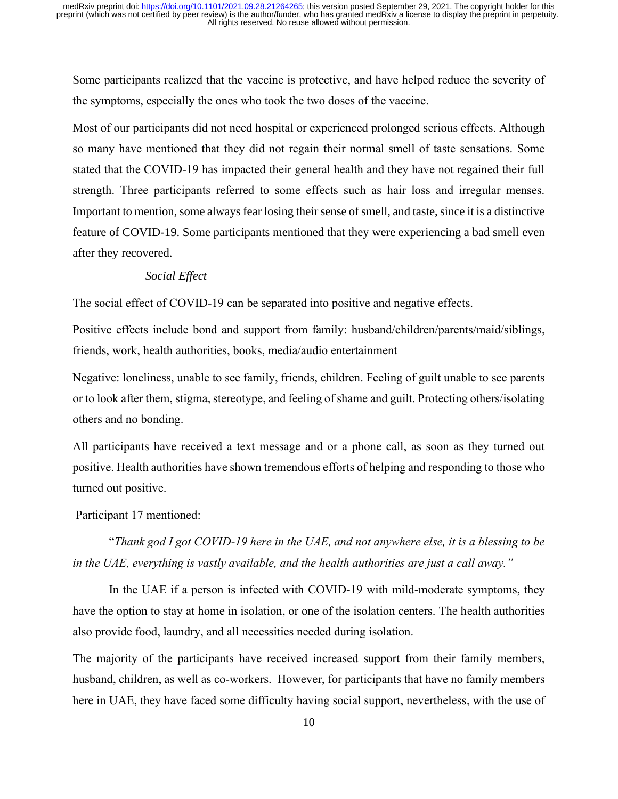Some participants realized that the vaccine is protective, and have helped reduce the severity of the symptoms, especially the ones who took the two doses of the vaccine.

Most of our participants did not need hospital or experienced prolonged serious effects. Although so many have mentioned that they did not regain their normal smell of taste sensations. Some stated that the COVID-19 has impacted their general health and they have not regained their full strength. Three participants referred to some effects such as hair loss and irregular menses. Important to mention, some always fear losing their sense of smell, and taste, since it is a distinctive feature of COVID-19. Some participants mentioned that they were experiencing a bad smell even after they recovered.

# *Social Effect*

The social effect of COVID-19 can be separated into positive and negative effects.

Positive effects include bond and support from family: husband/children/parents/maid/siblings, friends, work, health authorities, books, media/audio entertainment

Negative: loneliness, unable to see family, friends, children. Feeling of guilt unable to see parents or to look after them, stigma, stereotype, and feeling of shame and guilt. Protecting others/isolating others and no bonding.

All participants have received a text message and or a phone call, as soon as they turned out positive. Health authorities have shown tremendous efforts of helping and responding to those who turned out positive.

Participant 17 mentioned:

"*Thank god I got COVID-19 here in the UAE, and not anywhere else, it is a blessing to be in the UAE, everything is vastly available, and the health authorities are just a call away."* 

In the UAE if a person is infected with COVID-19 with mild-moderate symptoms, they have the option to stay at home in isolation, or one of the isolation centers. The health authorities also provide food, laundry, and all necessities needed during isolation.

The majority of the participants have received increased support from their family members, husband, children, as well as co-workers. However, for participants that have no family members here in UAE, they have faced some difficulty having social support, nevertheless, with the use of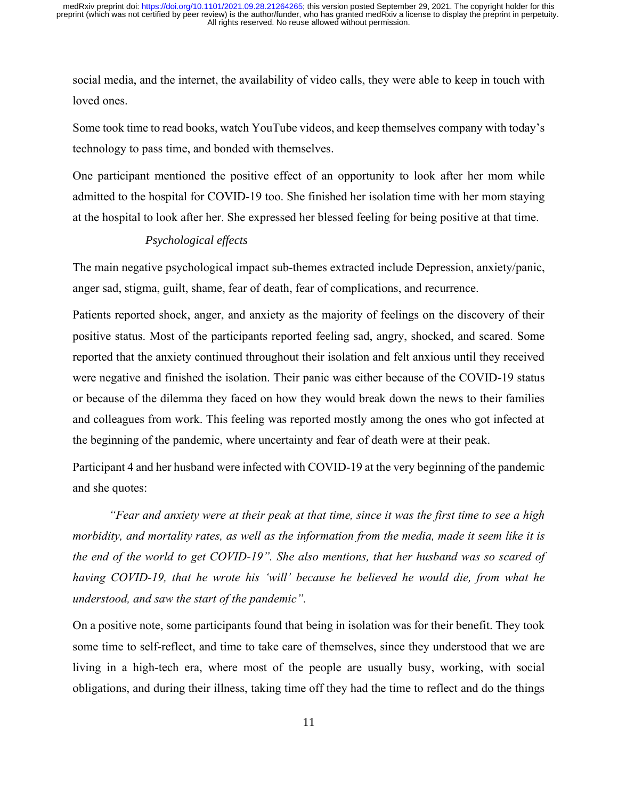social media, and the internet, the availability of video calls, they were able to keep in touch with loved ones.

Some took time to read books, watch YouTube videos, and keep themselves company with today's technology to pass time, and bonded with themselves.

One participant mentioned the positive effect of an opportunity to look after her mom while admitted to the hospital for COVID-19 too. She finished her isolation time with her mom staying at the hospital to look after her. She expressed her blessed feeling for being positive at that time.

# *Psychological effects*

The main negative psychological impact sub-themes extracted include Depression, anxiety/panic, anger sad, stigma, guilt, shame, fear of death, fear of complications, and recurrence.

Patients reported shock, anger, and anxiety as the majority of feelings on the discovery of their positive status. Most of the participants reported feeling sad, angry, shocked, and scared. Some reported that the anxiety continued throughout their isolation and felt anxious until they received were negative and finished the isolation. Their panic was either because of the COVID-19 status or because of the dilemma they faced on how they would break down the news to their families and colleagues from work. This feeling was reported mostly among the ones who got infected at the beginning of the pandemic, where uncertainty and fear of death were at their peak.

Participant 4 and her husband were infected with COVID-19 at the very beginning of the pandemic and she quotes:

*"Fear and anxiety were at their peak at that time, since it was the first time to see a high morbidity, and mortality rates, as well as the information from the media, made it seem like it is the end of the world to get COVID-19". She also mentions, that her husband was so scared of having COVID-19, that he wrote his 'will' because he believed he would die, from what he understood, and saw the start of the pandemic".*

On a positive note, some participants found that being in isolation was for their benefit. They took some time to self-reflect, and time to take care of themselves, since they understood that we are living in a high-tech era, where most of the people are usually busy, working, with social obligations, and during their illness, taking time off they had the time to reflect and do the things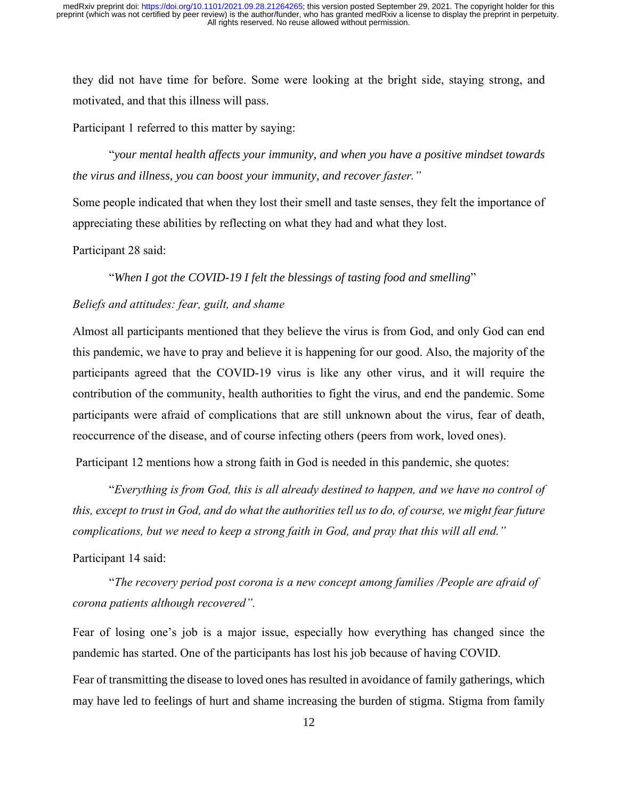they did not have time for before. Some were looking at the bright side, staying strong, and motivated, and that this illness will pass.

Participant 1 referred to this matter by saying:

"*your mental health affects your immunity, and when you have a positive mindset towards the virus and illness, you can boost your immunity, and recover faster."* 

Some people indicated that when they lost their smell and taste senses, they felt the importance of appreciating these abilities by reflecting on what they had and what they lost.

Participant 28 said:

"*When I got the COVID-19 I felt the blessings of tasting food and smelling*"

### *Beliefs and attitudes: fear, guilt, and shame*

Almost all participants mentioned that they believe the virus is from God, and only God can end this pandemic, we have to pray and believe it is happening for our good. Also, the majority of the participants agreed that the COVID-19 virus is like any other virus, and it will require the contribution of the community, health authorities to fight the virus, and end the pandemic. Some participants were afraid of complications that are still unknown about the virus, fear of death, reoccurrence of the disease, and of course infecting others (peers from work, loved ones).

Participant 12 mentions how a strong faith in God is needed in this pandemic, she quotes:

"*Everything is from God, this is all already destined to happen, and we have no control of this, except to trust in God, and do what the authorities tell us to do, of course, we might fear future complications, but we need to keep a strong faith in God, and pray that this will all end."*

Participant 14 said:

"*The recovery period post corona is a new concept among families /People are afraid of corona patients although recovered".*

Fear of losing one's job is a major issue, especially how everything has changed since the pandemic has started. One of the participants has lost his job because of having COVID.

Fear of transmitting the disease to loved ones has resulted in avoidance of family gatherings, which may have led to feelings of hurt and shame increasing the burden of stigma. Stigma from family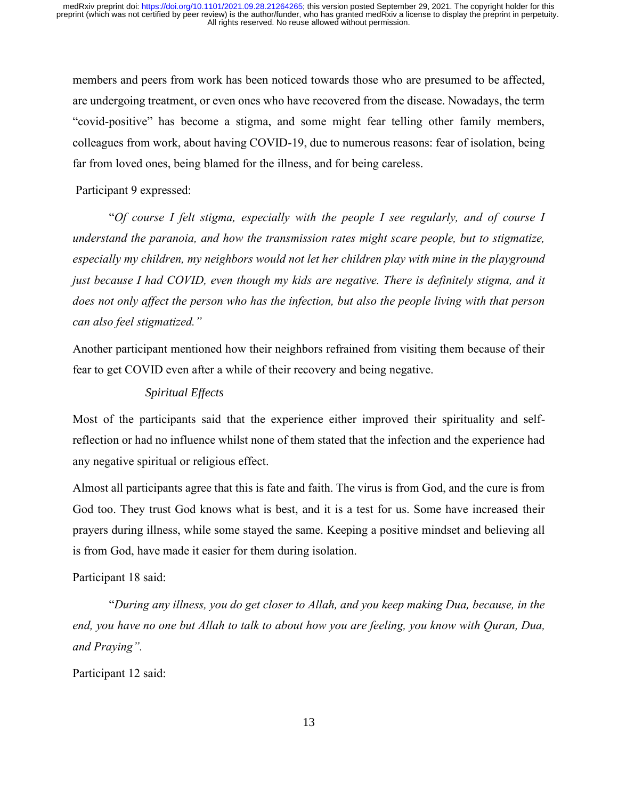members and peers from work has been noticed towards those who are presumed to be affected, are undergoing treatment, or even ones who have recovered from the disease. Nowadays, the term "covid-positive" has become a stigma, and some might fear telling other family members, colleagues from work, about having COVID-19, due to numerous reasons: fear of isolation, being far from loved ones, being blamed for the illness, and for being careless.

Participant 9 expressed:

"*Of course I felt stigma, especially with the people I see regularly, and of course I understand the paranoia, and how the transmission rates might scare people, but to stigmatize, especially my children, my neighbors would not let her children play with mine in the playground just because I had COVID, even though my kids are negative. There is definitely stigma, and it does not only affect the person who has the infection, but also the people living with that person can also feel stigmatized."*

Another participant mentioned how their neighbors refrained from visiting them because of their fear to get COVID even after a while of their recovery and being negative.

# *Spiritual Effects*

Most of the participants said that the experience either improved their spirituality and selfreflection or had no influence whilst none of them stated that the infection and the experience had any negative spiritual or religious effect.

Almost all participants agree that this is fate and faith. The virus is from God, and the cure is from God too. They trust God knows what is best, and it is a test for us. Some have increased their prayers during illness, while some stayed the same. Keeping a positive mindset and believing all is from God, have made it easier for them during isolation.

# Participant 18 said:

"*During any illness, you do get closer to Allah, and you keep making Dua, because, in the end, you have no one but Allah to talk to about how you are feeling, you know with Quran, Dua, and Praying".*

Participant 12 said: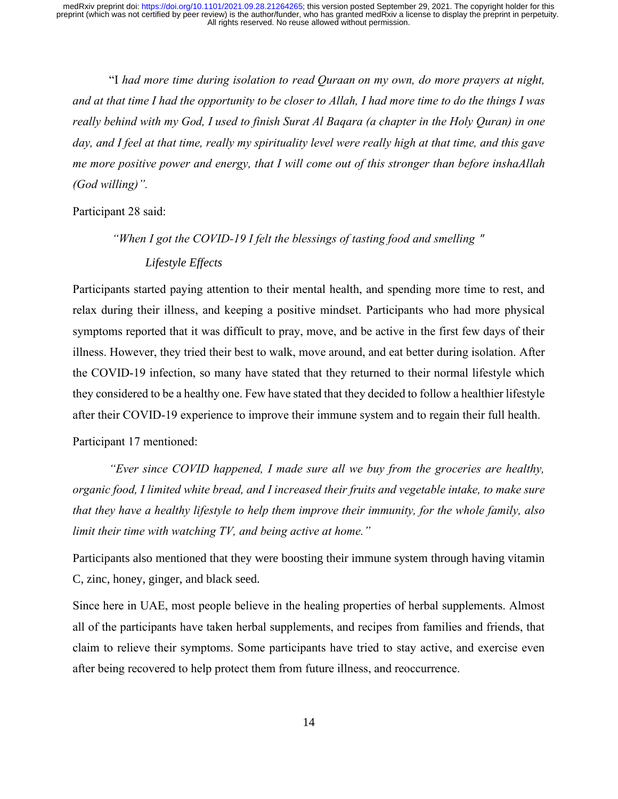"I *had more time during isolation to read Quraan on my own, do more prayers at night, and at that time I had the opportunity to be closer to Allah, I had more time to do the things I was really behind with my God, I used to finish Surat Al Baqara (a chapter in the Holy Quran) in one day, and I feel at that time, really my spirituality level were really high at that time, and this gave me more positive power and energy, that I will come out of this stronger than before inshaAllah (God willing)".*

Participant 28 said:

*"When I got the COVID-19 I felt the blessings of tasting food and smelling* " *Lifestyle Effects* 

Participants started paying attention to their mental health, and spending more time to rest, and relax during their illness, and keeping a positive mindset. Participants who had more physical symptoms reported that it was difficult to pray, move, and be active in the first few days of their illness. However, they tried their best to walk, move around, and eat better during isolation. After the COVID-19 infection, so many have stated that they returned to their normal lifestyle which they considered to be a healthy one. Few have stated that they decided to follow a healthier lifestyle after their COVID-19 experience to improve their immune system and to regain their full health.

Participant 17 mentioned:

*"Ever since COVID happened, I made sure all we buy from the groceries are healthy, organic food, I limited white bread, and I increased their fruits and vegetable intake, to make sure that they have a healthy lifestyle to help them improve their immunity, for the whole family, also limit their time with watching TV, and being active at home."* 

Participants also mentioned that they were boosting their immune system through having vitamin C, zinc, honey, ginger, and black seed.

Since here in UAE, most people believe in the healing properties of herbal supplements. Almost all of the participants have taken herbal supplements, and recipes from families and friends, that claim to relieve their symptoms. Some participants have tried to stay active, and exercise even after being recovered to help protect them from future illness, and reoccurrence.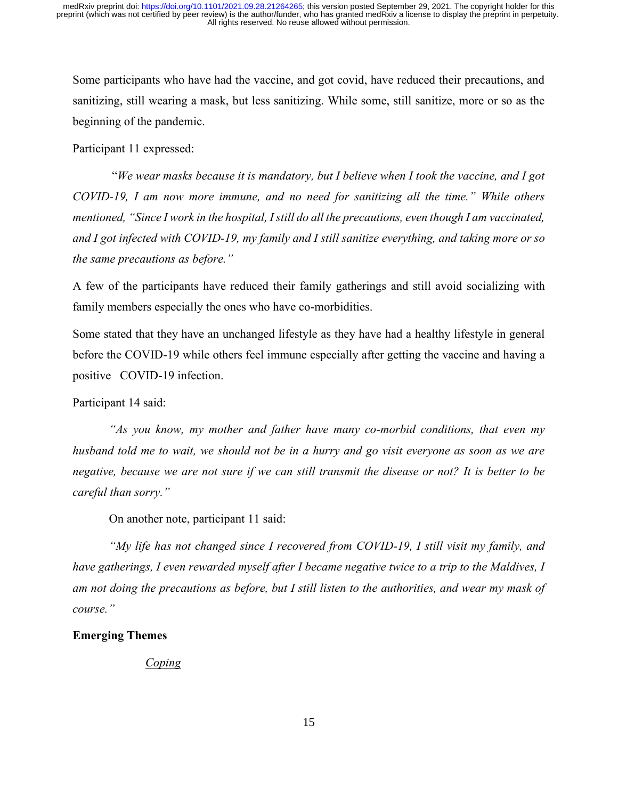Some participants who have had the vaccine, and got covid, have reduced their precautions, and sanitizing, still wearing a mask, but less sanitizing. While some, still sanitize, more or so as the beginning of the pandemic.

Participant 11 expressed:

"*We wear masks because it is mandatory, but I believe when I took the vaccine, and I got COVID-19, I am now more immune, and no need for sanitizing all the time." While others mentioned, "Since I work in the hospital, I still do all the precautions, even though I am vaccinated, and I got infected with COVID-19, my family and I still sanitize everything, and taking more or so the same precautions as before."*

A few of the participants have reduced their family gatherings and still avoid socializing with family members especially the ones who have co-morbidities.

Some stated that they have an unchanged lifestyle as they have had a healthy lifestyle in general before the COVID-19 while others feel immune especially after getting the vaccine and having a positive COVID-19 infection.

Participant 14 said:

*"As you know, my mother and father have many co-morbid conditions, that even my husband told me to wait, we should not be in a hurry and go visit everyone as soon as we are negative, because we are not sure if we can still transmit the disease or not? It is better to be careful than sorry."*

On another note, participant 11 said:

*"My life has not changed since I recovered from COVID-19, I still visit my family, and have gatherings, I even rewarded myself after I became negative twice to a trip to the Maldives, I am not doing the precautions as before, but I still listen to the authorities, and wear my mask of course."* 

# **Emerging Themes**

*Coping*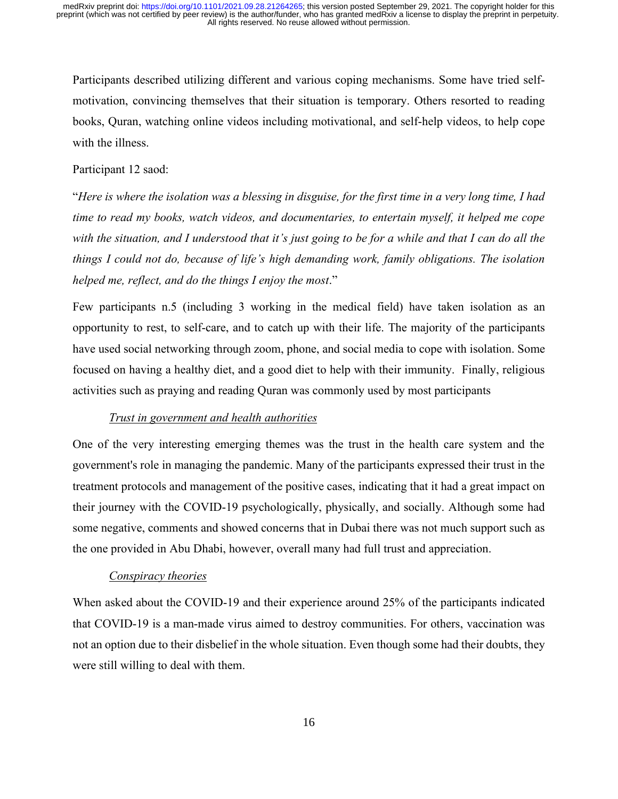Participants described utilizing different and various coping mechanisms. Some have tried selfmotivation, convincing themselves that their situation is temporary. Others resorted to reading books, Quran, watching online videos including motivational, and self-help videos, to help cope with the illness.

# Participant 12 saod:

"*Here is where the isolation was a blessing in disguise, for the first time in a very long time, I had time to read my books, watch videos, and documentaries, to entertain myself, it helped me cope with the situation, and I understood that it's just going to be for a while and that I can do all the things I could not do, because of life's high demanding work, family obligations. The isolation helped me, reflect, and do the things I enjoy the most*."

Few participants n.5 (including 3 working in the medical field) have taken isolation as an opportunity to rest, to self-care, and to catch up with their life. The majority of the participants have used social networking through zoom, phone, and social media to cope with isolation. Some focused on having a healthy diet, and a good diet to help with their immunity. Finally, religious activities such as praying and reading Quran was commonly used by most participants

# *Trust in government and health authorities*

One of the very interesting emerging themes was the trust in the health care system and the government's role in managing the pandemic. Many of the participants expressed their trust in the treatment protocols and management of the positive cases, indicating that it had a great impact on their journey with the COVID-19 psychologically, physically, and socially. Although some had some negative, comments and showed concerns that in Dubai there was not much support such as the one provided in Abu Dhabi, however, overall many had full trust and appreciation.

# *Conspiracy theories*

When asked about the COVID-19 and their experience around 25% of the participants indicated that COVID-19 is a man-made virus aimed to destroy communities. For others, vaccination was not an option due to their disbelief in the whole situation. Even though some had their doubts, they were still willing to deal with them.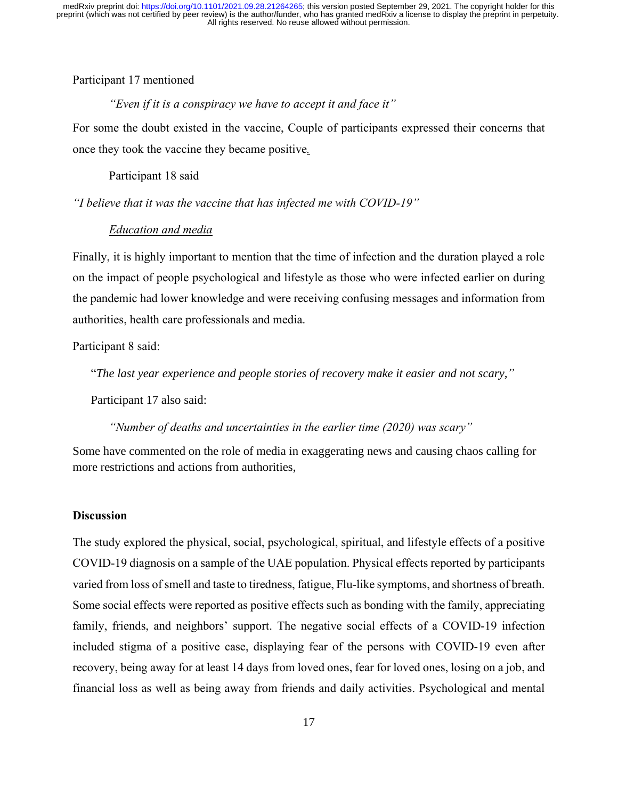# Participant 17 mentioned

## *"Even if it is a conspiracy we have to accept it and face it"*

For some the doubt existed in the vaccine, Couple of participants expressed their concerns that once they took the vaccine they became positive*.*

#### Participant 18 said

*"I believe that it was the vaccine that has infected me with COVID-19"*

# *Education and media*

Finally, it is highly important to mention that the time of infection and the duration played a role on the impact of people psychological and lifestyle as those who were infected earlier on during the pandemic had lower knowledge and were receiving confusing messages and information from authorities, health care professionals and media.

Participant 8 said:

"*The last year experience and people stories of recovery make it easier and not scary,"* 

Participant 17 also said:

*"Number of deaths and uncertainties in the earlier time (2020) was scary"* 

Some have commented on the role of media in exaggerating news and causing chaos calling for more restrictions and actions from authorities,

#### **Discussion**

The study explored the physical, social, psychological, spiritual, and lifestyle effects of a positive COVID-19 diagnosis on a sample of the UAE population. Physical effects reported by participants varied from loss of smell and taste to tiredness, fatigue, Flu-like symptoms, and shortness of breath. Some social effects were reported as positive effects such as bonding with the family, appreciating family, friends, and neighbors' support. The negative social effects of a COVID-19 infection included stigma of a positive case, displaying fear of the persons with COVID-19 even after recovery, being away for at least 14 days from loved ones, fear for loved ones, losing on a job, and financial loss as well as being away from friends and daily activities. Psychological and mental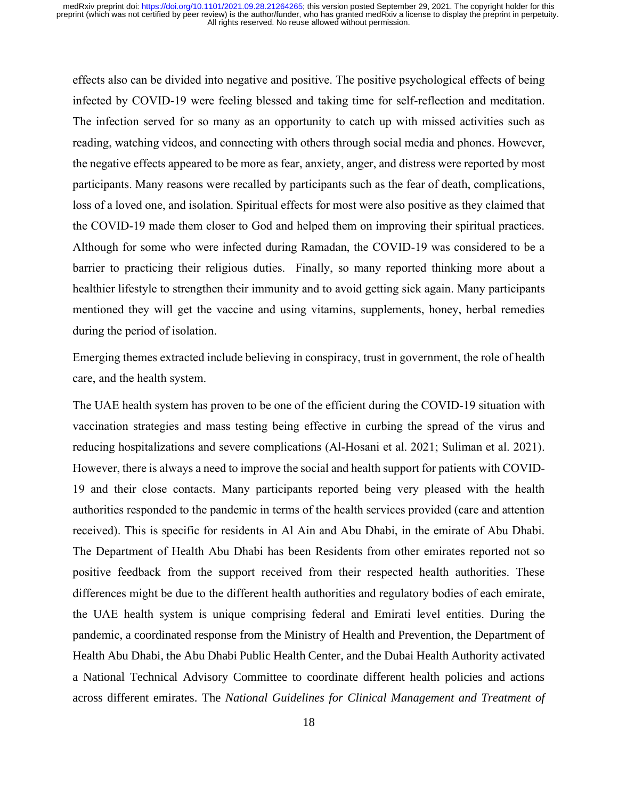effects also can be divided into negative and positive. The positive psychological effects of being infected by COVID-19 were feeling blessed and taking time for self-reflection and meditation. The infection served for so many as an opportunity to catch up with missed activities such as reading, watching videos, and connecting with others through social media and phones. However, the negative effects appeared to be more as fear, anxiety, anger, and distress were reported by most participants. Many reasons were recalled by participants such as the fear of death, complications, loss of a loved one, and isolation. Spiritual effects for most were also positive as they claimed that the COVID-19 made them closer to God and helped them on improving their spiritual practices. Although for some who were infected during Ramadan, the COVID-19 was considered to be a barrier to practicing their religious duties. Finally, so many reported thinking more about a healthier lifestyle to strengthen their immunity and to avoid getting sick again. Many participants mentioned they will get the vaccine and using vitamins, supplements, honey, herbal remedies during the period of isolation.

Emerging themes extracted include believing in conspiracy, trust in government, the role of health care, and the health system.

The UAE health system has proven to be one of the efficient during the COVID-19 situation with vaccination strategies and mass testing being effective in curbing the spread of the virus and reducing hospitalizations and severe complications (Al-Hosani et al. 2021; Suliman et al. 2021). However, there is always a need to improve the social and health support for patients with COVID-19 and their close contacts. Many participants reported being very pleased with the health authorities responded to the pandemic in terms of the health services provided (care and attention received). This is specific for residents in Al Ain and Abu Dhabi, in the emirate of Abu Dhabi. The Department of Health Abu Dhabi has been Residents from other emirates reported not so positive feedback from the support received from their respected health authorities. These differences might be due to the different health authorities and regulatory bodies of each emirate, the UAE health system is unique comprising federal and Emirati level entities. During the pandemic, a coordinated response from the Ministry of Health and Prevention, the Department of Health Abu Dhabi, the Abu Dhabi Public Health Center, and the Dubai Health Authority activated a National Technical Advisory Committee to coordinate different health policies and actions across different emirates. The *National Guidelines for Clinical Management and Treatment of*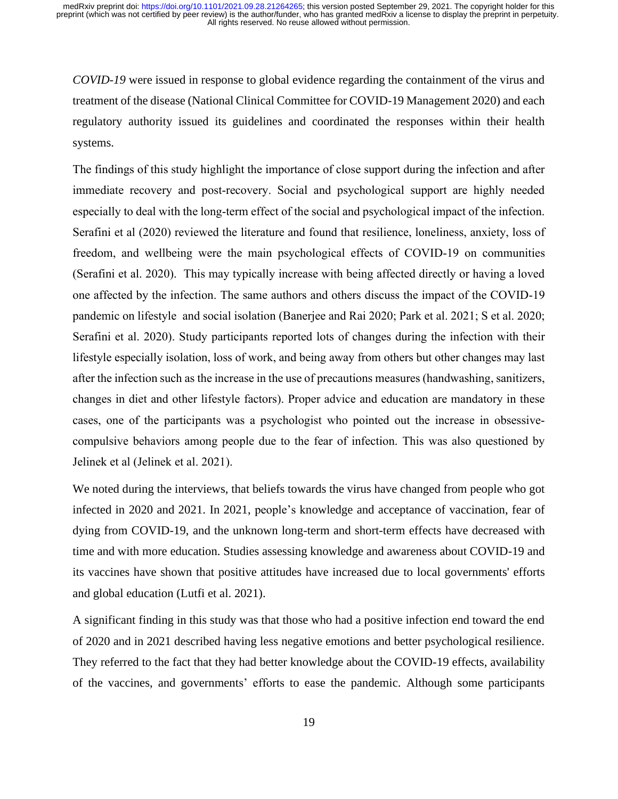*COVID-19* were issued in response to global evidence regarding the containment of the virus and treatment of the disease (National Clinical Committee for COVID-19 Management 2020) and each regulatory authority issued its guidelines and coordinated the responses within their health systems.

The findings of this study highlight the importance of close support during the infection and after immediate recovery and post-recovery. Social and psychological support are highly needed especially to deal with the long-term effect of the social and psychological impact of the infection. Serafini et al (2020) reviewed the literature and found that resilience, loneliness, anxiety, loss of freedom, and wellbeing were the main psychological effects of COVID-19 on communities (Serafini et al. 2020). This may typically increase with being affected directly or having a loved one affected by the infection. The same authors and others discuss the impact of the COVID-19 pandemic on lifestyle and social isolation (Banerjee and Rai 2020; Park et al. 2021; S et al. 2020; Serafini et al. 2020). Study participants reported lots of changes during the infection with their lifestyle especially isolation, loss of work, and being away from others but other changes may last after the infection such as the increase in the use of precautions measures (handwashing, sanitizers, changes in diet and other lifestyle factors). Proper advice and education are mandatory in these cases, one of the participants was a psychologist who pointed out the increase in obsessivecompulsive behaviors among people due to the fear of infection. This was also questioned by Jelinek et al (Jelinek et al. 2021).

We noted during the interviews, that beliefs towards the virus have changed from people who got infected in 2020 and 2021. In 2021, people's knowledge and acceptance of vaccination, fear of dying from COVID-19, and the unknown long-term and short-term effects have decreased with time and with more education. Studies assessing knowledge and awareness about COVID-19 and its vaccines have shown that positive attitudes have increased due to local governments' efforts and global education (Lutfi et al. 2021).

A significant finding in this study was that those who had a positive infection end toward the end of 2020 and in 2021 described having less negative emotions and better psychological resilience. They referred to the fact that they had better knowledge about the COVID-19 effects, availability of the vaccines, and governments' efforts to ease the pandemic. Although some participants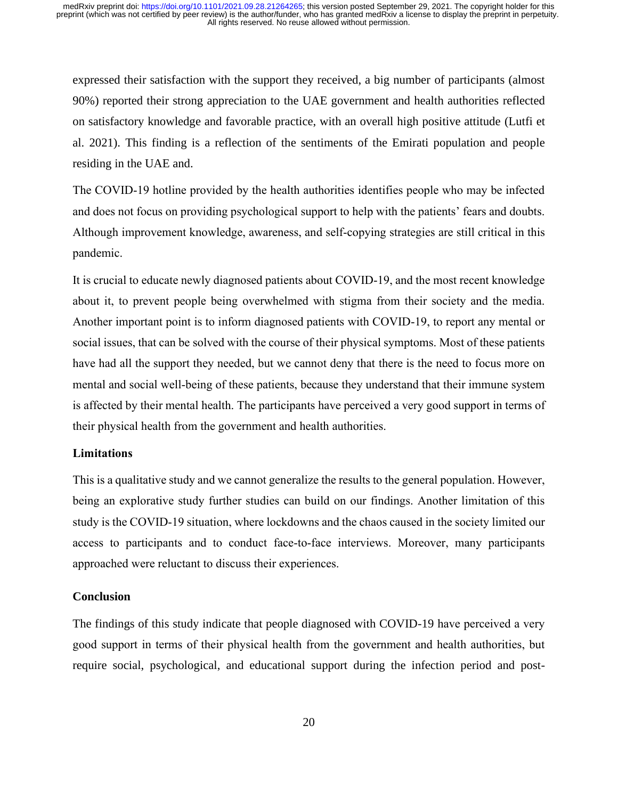expressed their satisfaction with the support they received, a big number of participants (almost 90%) reported their strong appreciation to the UAE government and health authorities reflected on satisfactory knowledge and favorable practice, with an overall high positive attitude (Lutfi et al. 2021). This finding is a reflection of the sentiments of the Emirati population and people residing in the UAE and.

The COVID-19 hotline provided by the health authorities identifies people who may be infected and does not focus on providing psychological support to help with the patients' fears and doubts. Although improvement knowledge, awareness, and self-copying strategies are still critical in this pandemic.

It is crucial to educate newly diagnosed patients about COVID-19, and the most recent knowledge about it, to prevent people being overwhelmed with stigma from their society and the media. Another important point is to inform diagnosed patients with COVID-19, to report any mental or social issues, that can be solved with the course of their physical symptoms. Most of these patients have had all the support they needed, but we cannot deny that there is the need to focus more on mental and social well-being of these patients, because they understand that their immune system is affected by their mental health. The participants have perceived a very good support in terms of their physical health from the government and health authorities.

# **Limitations**

This is a qualitative study and we cannot generalize the results to the general population. However, being an explorative study further studies can build on our findings. Another limitation of this study is the COVID-19 situation, where lockdowns and the chaos caused in the society limited our access to participants and to conduct face-to-face interviews. Moreover, many participants approached were reluctant to discuss their experiences.

# **Conclusion**

The findings of this study indicate that people diagnosed with COVID-19 have perceived a very good support in terms of their physical health from the government and health authorities, but require social, psychological, and educational support during the infection period and post-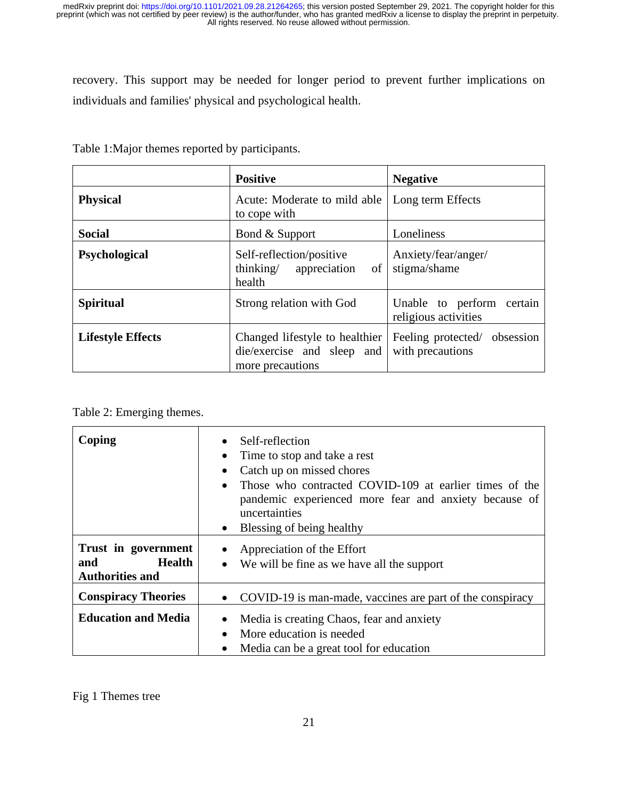recovery. This support may be needed for longer period to prevent further implications on individuals and families' physical and psychological health.

|                          | <b>Positive</b>                                                                  | <b>Negative</b>                                   |
|--------------------------|----------------------------------------------------------------------------------|---------------------------------------------------|
| <b>Physical</b>          | Acute: Moderate to mild able<br>to cope with                                     | Long term Effects                                 |
| <b>Social</b>            | Bond & Support                                                                   | Loneliness                                        |
| Psychological            | Self-reflection/positive<br>thinking/<br>appreciation of<br>health               | Anxiety/fear/anger/<br>stigma/shame               |
| <b>Spiritual</b>         | Strong relation with God                                                         | Unable to perform certain<br>religious activities |
| <b>Lifestyle Effects</b> | Changed lifestyle to healthier<br>die/exercise and sleep and<br>more precautions | Feeling protected/ obsession<br>with precautions  |

Table 1:Major themes reported by participants.

| Coping                                                                | Self-reflection<br>Time to stop and take a rest<br>Catch up on missed chores<br>$\bullet$<br>Those who contracted COVID-109 at earlier times of the<br>$\bullet$<br>pandemic experienced more fear and anxiety because of<br>uncertainties<br>Blessing of being healthy |
|-----------------------------------------------------------------------|-------------------------------------------------------------------------------------------------------------------------------------------------------------------------------------------------------------------------------------------------------------------------|
| Trust in government<br><b>Health</b><br>and<br><b>Authorities and</b> | Appreciation of the Effort<br>We will be fine as we have all the support<br>$\bullet$                                                                                                                                                                                   |
| <b>Conspiracy Theories</b>                                            | • COVID-19 is man-made, vaccines are part of the conspiracy                                                                                                                                                                                                             |
| <b>Education and Media</b>                                            | Media is creating Chaos, fear and anxiety<br>$\bullet$<br>More education is needed<br>Media can be a great tool for education                                                                                                                                           |

Fig 1 Themes tree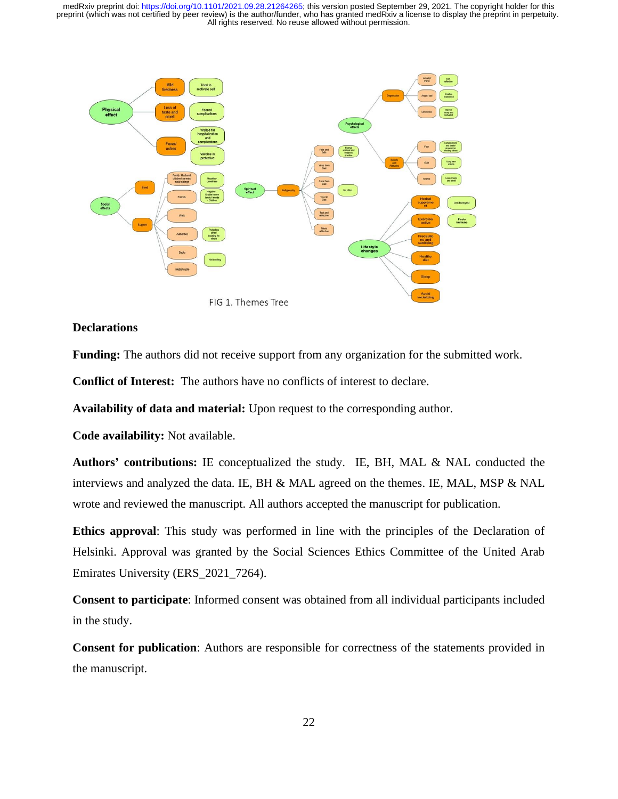

# **Declarations**

**Funding:** The authors did not receive support from any organization for the submitted work.

**Conflict of Interest:** The authors have no conflicts of interest to declare.

**Availability of data and material:** Upon request to the corresponding author.

**Code availability:** Not available.

**Authors' contributions:** IE conceptualized the study. IE, BH, MAL & NAL conducted the interviews and analyzed the data. IE, BH & MAL agreed on the themes. IE, MAL, MSP & NAL wrote and reviewed the manuscript. All authors accepted the manuscript for publication.

**Ethics approval**: This study was performed in line with the principles of the Declaration of Helsinki. Approval was granted by the Social Sciences Ethics Committee of the United Arab Emirates University (ERS\_2021\_7264).

**Consent to participate**: Informed consent was obtained from all individual participants included in the study.

**Consent for publication**: Authors are responsible for correctness of the statements provided in the manuscript.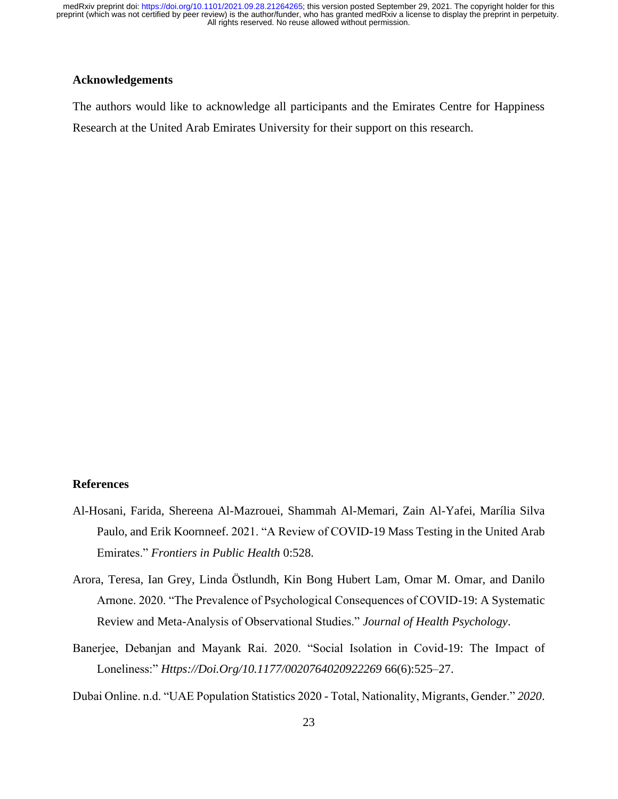# **Acknowledgements**

The authors would like to acknowledge all participants and the Emirates Centre for Happiness Research at the United Arab Emirates University for their support on this research.

# **References**

- Al-Hosani, Farida, Shereena Al-Mazrouei, Shammah Al-Memari, Zain Al-Yafei, Marília Silva Paulo, and Erik Koornneef. 2021. "A Review of COVID-19 Mass Testing in the United Arab Emirates." *Frontiers in Public Health* 0:528.
- Arora, Teresa, Ian Grey, Linda Östlundh, Kin Bong Hubert Lam, Omar M. Omar, and Danilo Arnone. 2020. "The Prevalence of Psychological Consequences of COVID-19: A Systematic Review and Meta-Analysis of Observational Studies." *Journal of Health Psychology*.
- Banerjee, Debanjan and Mayank Rai. 2020. "Social Isolation in Covid-19: The Impact of Loneliness:" *Https://Doi.Org/10.1177/0020764020922269* 66(6):525–27.

Dubai Online. n.d. "UAE Population Statistics 2020 - Total, Nationality, Migrants, Gender." *2020*.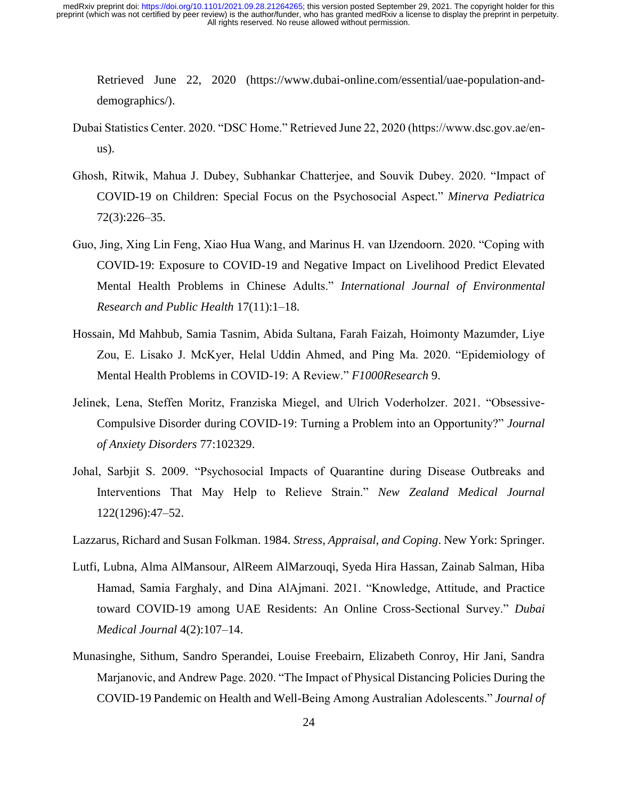Retrieved June 22, 2020 (https://www.dubai-online.com/essential/uae-population-anddemographics/).

- Dubai Statistics Center. 2020. "DSC Home." Retrieved June 22, 2020 (https://www.dsc.gov.ae/enus).
- Ghosh, Ritwik, Mahua J. Dubey, Subhankar Chatterjee, and Souvik Dubey. 2020. "Impact of COVID-19 on Children: Special Focus on the Psychosocial Aspect." *Minerva Pediatrica* 72(3):226–35.
- Guo, Jing, Xing Lin Feng, Xiao Hua Wang, and Marinus H. van IJzendoorn. 2020. "Coping with COVID-19: Exposure to COVID-19 and Negative Impact on Livelihood Predict Elevated Mental Health Problems in Chinese Adults." *International Journal of Environmental Research and Public Health* 17(11):1–18.
- Hossain, Md Mahbub, Samia Tasnim, Abida Sultana, Farah Faizah, Hoimonty Mazumder, Liye Zou, E. Lisako J. McKyer, Helal Uddin Ahmed, and Ping Ma. 2020. "Epidemiology of Mental Health Problems in COVID-19: A Review." *F1000Research* 9.
- Jelinek, Lena, Steffen Moritz, Franziska Miegel, and Ulrich Voderholzer. 2021. "Obsessive-Compulsive Disorder during COVID-19: Turning a Problem into an Opportunity?" *Journal of Anxiety Disorders* 77:102329.
- Johal, Sarbjit S. 2009. "Psychosocial Impacts of Quarantine during Disease Outbreaks and Interventions That May Help to Relieve Strain." *New Zealand Medical Journal* 122(1296):47–52.
- Lazzarus, Richard and Susan Folkman. 1984. *Stress, Appraisal, and Coping*. New York: Springer.
- Lutfi, Lubna, Alma AlMansour, AlReem AlMarzouqi, Syeda Hira Hassan, Zainab Salman, Hiba Hamad, Samia Farghaly, and Dina AlAjmani. 2021. "Knowledge, Attitude, and Practice toward COVID-19 among UAE Residents: An Online Cross-Sectional Survey." *Dubai Medical Journal* 4(2):107–14.
- Munasinghe, Sithum, Sandro Sperandei, Louise Freebairn, Elizabeth Conroy, Hir Jani, Sandra Marjanovic, and Andrew Page. 2020. "The Impact of Physical Distancing Policies During the COVID-19 Pandemic on Health and Well-Being Among Australian Adolescents." *Journal of*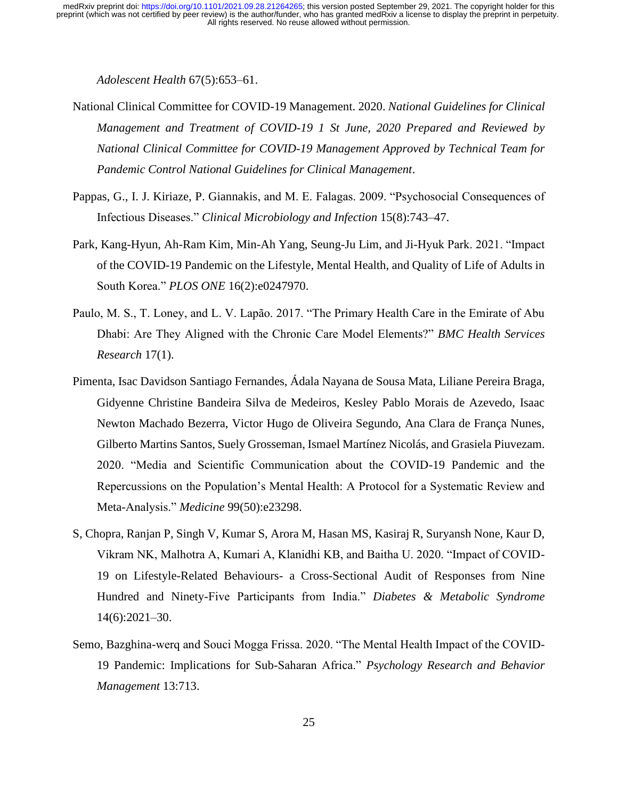*Adolescent Health* 67(5):653–61.

- National Clinical Committee for COVID-19 Management. 2020. *National Guidelines for Clinical Management and Treatment of COVID-19 1 St June, 2020 Prepared and Reviewed by National Clinical Committee for COVID-19 Management Approved by Technical Team for Pandemic Control National Guidelines for Clinical Management*.
- Pappas, G., I. J. Kiriaze, P. Giannakis, and M. E. Falagas. 2009. "Psychosocial Consequences of Infectious Diseases." *Clinical Microbiology and Infection* 15(8):743–47.
- Park, Kang-Hyun, Ah-Ram Kim, Min-Ah Yang, Seung-Ju Lim, and Ji-Hyuk Park. 2021. "Impact of the COVID-19 Pandemic on the Lifestyle, Mental Health, and Quality of Life of Adults in South Korea." *PLOS ONE* 16(2):e0247970.
- Paulo, M. S., T. Loney, and L. V. Lapão. 2017. "The Primary Health Care in the Emirate of Abu Dhabi: Are They Aligned with the Chronic Care Model Elements?" *BMC Health Services Research* 17(1).
- Pimenta, Isac Davidson Santiago Fernandes, Ádala Nayana de Sousa Mata, Liliane Pereira Braga, Gidyenne Christine Bandeira Silva de Medeiros, Kesley Pablo Morais de Azevedo, Isaac Newton Machado Bezerra, Victor Hugo de Oliveira Segundo, Ana Clara de França Nunes, Gilberto Martins Santos, Suely Grosseman, Ismael Martínez Nicolás, and Grasiela Piuvezam. 2020. "Media and Scientific Communication about the COVID-19 Pandemic and the Repercussions on the Population's Mental Health: A Protocol for a Systematic Review and Meta-Analysis." *Medicine* 99(50):e23298.
- S, Chopra, Ranjan P, Singh V, Kumar S, Arora M, Hasan MS, Kasiraj R, Suryansh None, Kaur D, Vikram NK, Malhotra A, Kumari A, Klanidhi KB, and Baitha U. 2020. "Impact of COVID-19 on Lifestyle-Related Behaviours- a Cross-Sectional Audit of Responses from Nine Hundred and Ninety-Five Participants from India." *Diabetes & Metabolic Syndrome* 14(6):2021–30.
- Semo, Bazghina-werq and Souci Mogga Frissa. 2020. "The Mental Health Impact of the COVID-19 Pandemic: Implications for Sub-Saharan Africa." *Psychology Research and Behavior Management* 13:713.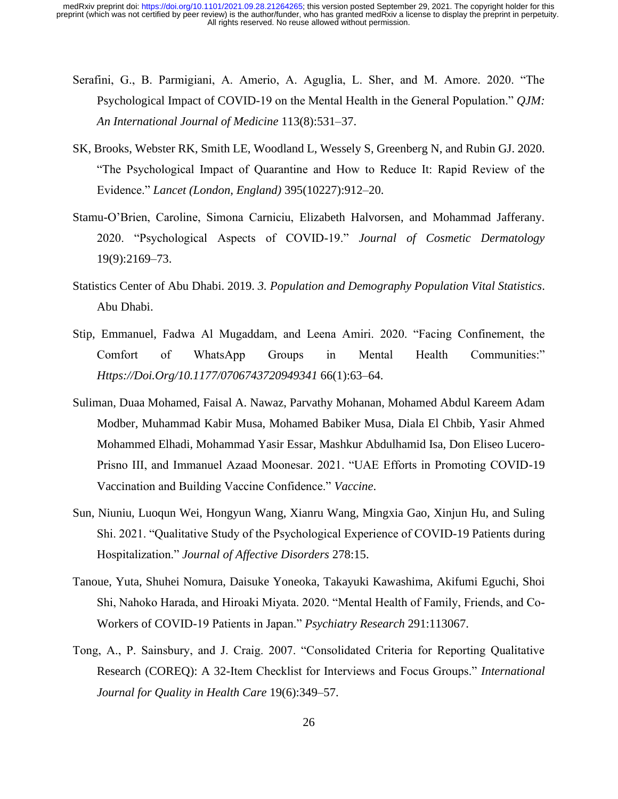- Serafini, G., B. Parmigiani, A. Amerio, A. Aguglia, L. Sher, and M. Amore. 2020. "The Psychological Impact of COVID-19 on the Mental Health in the General Population." *QJM: An International Journal of Medicine* 113(8):531–37.
- SK, Brooks, Webster RK, Smith LE, Woodland L, Wessely S, Greenberg N, and Rubin GJ. 2020. "The Psychological Impact of Quarantine and How to Reduce It: Rapid Review of the Evidence." *Lancet (London, England)* 395(10227):912–20.
- Stamu-O'Brien, Caroline, Simona Carniciu, Elizabeth Halvorsen, and Mohammad Jafferany. 2020. "Psychological Aspects of COVID-19." *Journal of Cosmetic Dermatology* 19(9):2169–73.
- Statistics Center of Abu Dhabi. 2019. *3. Population and Demography Population Vital Statistics*. Abu Dhabi.
- Stip, Emmanuel, Fadwa Al Mugaddam, and Leena Amiri. 2020. "Facing Confinement, the Comfort of WhatsApp Groups in Mental Health Communities:" *Https://Doi.Org/10.1177/0706743720949341* 66(1):63–64.
- Suliman, Duaa Mohamed, Faisal A. Nawaz, Parvathy Mohanan, Mohamed Abdul Kareem Adam Modber, Muhammad Kabir Musa, Mohamed Babiker Musa, Diala El Chbib, Yasir Ahmed Mohammed Elhadi, Mohammad Yasir Essar, Mashkur Abdulhamid Isa, Don Eliseo Lucero-Prisno III, and Immanuel Azaad Moonesar. 2021. "UAE Efforts in Promoting COVID-19 Vaccination and Building Vaccine Confidence." *Vaccine*.
- Sun, Niuniu, Luoqun Wei, Hongyun Wang, Xianru Wang, Mingxia Gao, Xinjun Hu, and Suling Shi. 2021. "Qualitative Study of the Psychological Experience of COVID-19 Patients during Hospitalization." *Journal of Affective Disorders* 278:15.
- Tanoue, Yuta, Shuhei Nomura, Daisuke Yoneoka, Takayuki Kawashima, Akifumi Eguchi, Shoi Shi, Nahoko Harada, and Hiroaki Miyata. 2020. "Mental Health of Family, Friends, and Co-Workers of COVID-19 Patients in Japan." *Psychiatry Research* 291:113067.
- Tong, A., P. Sainsbury, and J. Craig. 2007. "Consolidated Criteria for Reporting Qualitative Research (COREQ): A 32-Item Checklist for Interviews and Focus Groups." *International Journal for Quality in Health Care* 19(6):349–57.